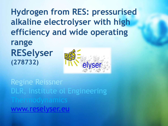**Hydrogen from RES: pressurised alkaline electrolyser with high efficiency and wide operating** 

**range RESelyser (278732)**



S<br>Click to additional to additional to additional to additional to additional to additional to additional to a<br>Click to additional to additional to additional to additional to additional to additional to additional to add Regine Reissner DLR, Institute ol Engineering [www.reselyser.eu](http://www.reselyser.eu/)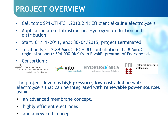## **PROJECT OVERVIEW**

- Call topic SP1-JTI-FCH.2010.2.1: Efficient alkaline electrolysers
- Application area: Infrastructure Hydrogen production and distribution
- Start: 01/11/2011, end: 30/04/2015; project terminated
- Total budget: 2.89 Mio.€, FCH JU contribution: 1.48 Mio.€, regional support: 594,000 DKK from ForskEl program of Energinet.dk



für Luft- und Raumfahrt e.V. in der Helmholtz-Gemeinschaft



Advanced Hydrogen Solutions



**Technical University** of Denmark

#### The project develops **high pressure**, **low cost** alkaline water electrolysers that can be integrated with **renewable power sources**  using

- an advanced membrane concept,
- highly efficient electrodes
- and a new cell concept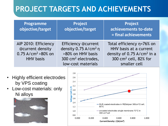| Programme<br>objective/target                                                                     | Project<br>objective/target                                                                                                                  | <b>Project</b><br>achievements to-date<br>= final achievements                                                                                       |
|---------------------------------------------------------------------------------------------------|----------------------------------------------------------------------------------------------------------------------------------------------|------------------------------------------------------------------------------------------------------------------------------------------------------|
| AIP 2010: Efficiency<br>@current density<br>$0.75$ A/cm <sup>2</sup> > 80% on<br><b>HHV</b> basis | <b>Efficiency @current</b><br>density 0.75 A/cm <sup>2</sup> n<br>>80% on HHV basis<br>300 cm <sup>2</sup> electrodes,<br>low-cost materials | Total efficiency $n=76%$ on<br>HHV basis at a current<br>density of 0.75 A/cm <sup>2</sup> in a<br>300 cm <sup>2</sup> cell, 82% for<br>smaller cell |

- Highly efficient electrodes by VPS coating
- Low-cost materials: only Ni alloys



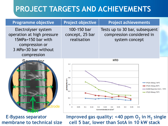

**E-Bypass separator** Improved gas quality: <40 ppm O<sub>2</sub> in H<sub>2</sub> single **membrane to technical size cell 5 bar, lower than SotA in 10 kW stack**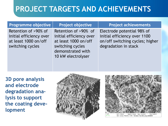#### **Programme objective** | Project objective | Project achievements

Retention of >90% of initial efficiency over at least 1000 on/off switching cycles

Retention of >90% of initial efficiency over at least 1000 on/off switching cycles demonstrated with 10 kW electrolyser

Electrode potential 98% of initial efficiency over 1100 on/off switching cycles; higher degradation in stack

**3D pore analysis and electrode degradation analysis to support the coating development**



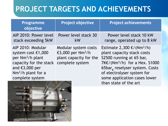| <b>Programme</b><br>objective                                                                                                                                       | <b>Project objective</b>                                                                           | <b>Project achievements</b>                                                                                                                                                                                                                                                          |
|---------------------------------------------------------------------------------------------------------------------------------------------------------------------|----------------------------------------------------------------------------------------------------|--------------------------------------------------------------------------------------------------------------------------------------------------------------------------------------------------------------------------------------------------------------------------------------|
| AIP 2010: Power level<br>stack exceeding 5kW                                                                                                                        | Power level stack 30<br>kW                                                                         | Power level stack 10 kW<br>range, operated up to 8 kW                                                                                                                                                                                                                                |
| AIP 2010: Modular<br>system cost €1,000<br>per Nm <sup>3</sup> /h plant<br>capacity for the stack<br>and $\xi$ 3,000 per<br>$Nm^3/h$ plant for a<br>complete system | Modular system costs<br>€3,000 per Nm <sup>3</sup> /h<br>plant capacity for the<br>complete system | Estimate 2,300 €/( $Nm^3/h$ )<br>plant capacity stack costs<br>S2500 running at 65 bar,<br>7K $\epsilon$ /(Nm <sup>3</sup> /h) for a Hex. S1000<br>65bar <sub>g</sub> reselyser system. Costs<br>of electrolyser system for<br>some application cases lower<br>than state of the art |

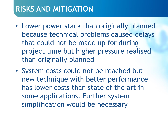#### **RISKS AND MITIGATION**

- Lower power stack than originally planned because technical problems caused delays that could not be made up for during project time but higher pressure realised than originally planned
- System costs could not be reached but new technique with better performance has lower costs than state of the art in some applications. Further system simplification would be necessary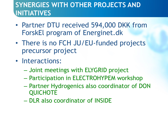#### **SYNERGIES WITH OTHER PROJECTS AND INITIATIVES**

- Partner DTU received 594,000 DKK from ForskEl program of Energinet.dk
- There is no FCH JU/EU-funded projects precursor project
- Interactions:
	- Joint meetings with ELYGRID project
	- Participation in ELECTROHYPEM workshop
	- Partner Hydrogenics also coordinator of DON **QUICHOTE**
	- DLR also coordinator of INSIDE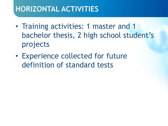# **HORIZONTAL ACTIVITIES**

- Training activities: 1 master and 1 bachelor thesis, 2 high school student's projects
- Experience collected for future definition of standard tests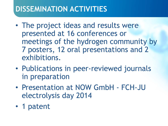# **DISSEMINATION ACTIVITIES**

- The project ideas and results were presented at 16 conferences or meetings of the hydrogen community by 7 posters, 12 oral presentations and 2 exhibitions.
- Publications in peer-reviewed journals in preparation
- Presentation at NOW GmbH FCH-JU electrolysis day 2014
- 1 patent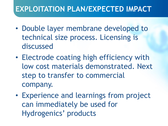# **EXPLOITATION PLAN/EXPECTED IMPACT**

- Double layer membrane developed to technical size process. Licensing is discussed
- Electrode coating high efficiency with low cost materials demonstrated. Next step to transfer to commercial company.
- Experience and learnings from project can immediately be used for Hydrogenics' products